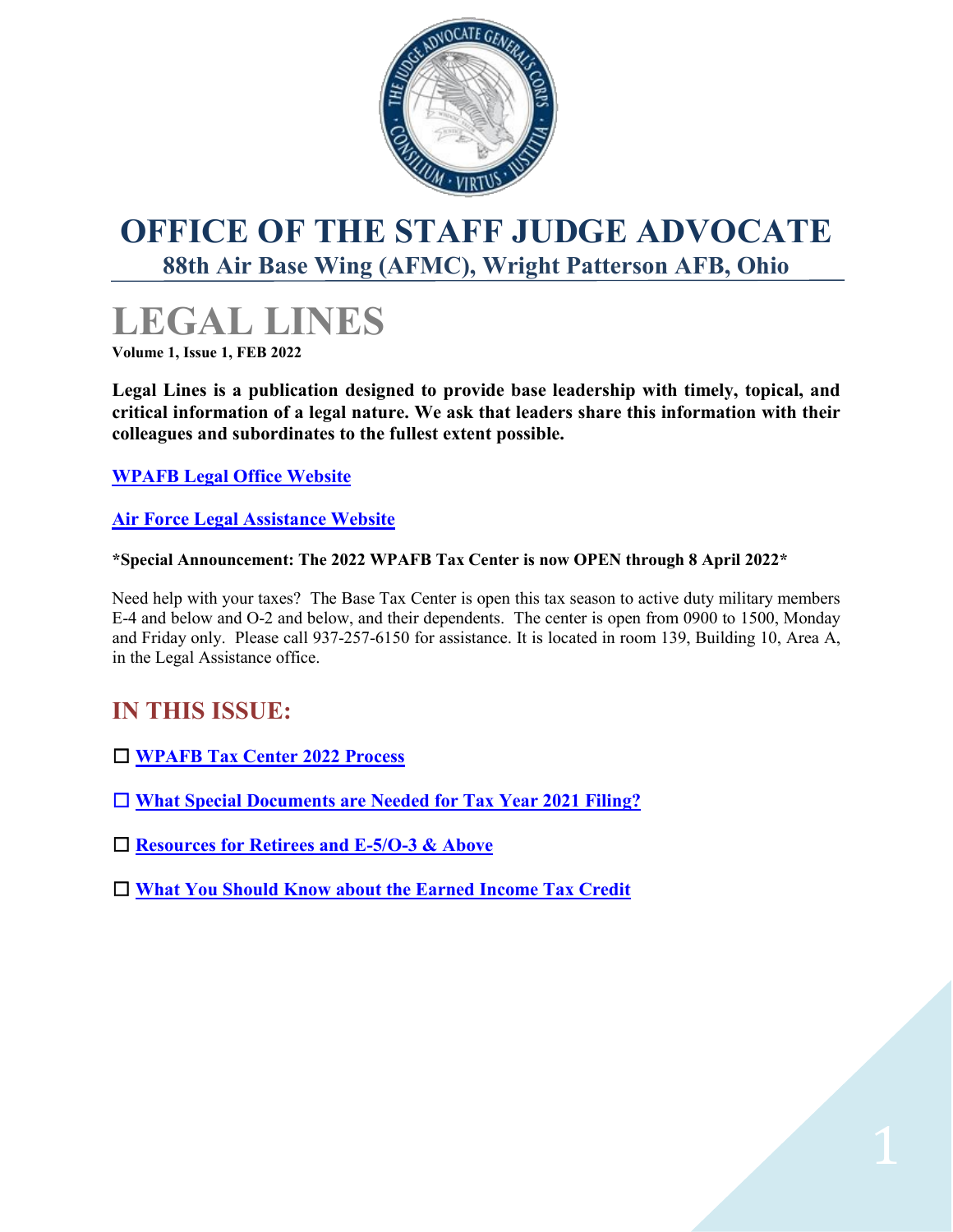

# <span id="page-0-0"></span>**[OFFICE OF THE STAFF JUDGE ADVOCATE](http://www.wpafb.af.mil/units/ja/index.asp)  [88th Air Base Wing \(AFMC\),](http://www.wpafb.af.mil/units/ja/index.asp) Wright Patterson AFB, Ohio**

# **LEGAL LINES**

**Volume 1, Issue 1, FEB 2022**

**Legal Lines is a publication designed to provide base leadership with timely, topical, and critical information of a legal nature. We ask that leaders share this information with their colleagues and subordinates to the fullest extent possible.**

**[WPAFB Legal Office Website](https://www.wpafb.af.mil/Units/ja/)**

**[Air Force Legal Assistance Website](https://aflegalassistance.law.af.mil/lass/lass.html)**

### **\*Special Announcement: The 2022 WPAFB Tax Center is now OPEN through 8 April 2022\***

Need help with your taxes? The Base Tax Center is open this tax season to active duty military members E-4 and below and O-2 and below, and their dependents. The center is open from 0900 to 1500, Monday and Friday only. Please call 937-257-6150 for assistance. It is located in room 139, Building 10, Area A, in the Legal Assistance office.

# **IN THIS ISSUE:**

- **[WPAFB Tax Center 2022 Process](#page-2-0)**
- **[What Special Documents are Needed for Tax Year 2021 Filing?](#page-1-0)**
- **[Resources for Retirees and E-5/O-3 & Above](#page-2-0)**
- **[What You Should Know about the Earned Income Tax Credit](#page-3-0)**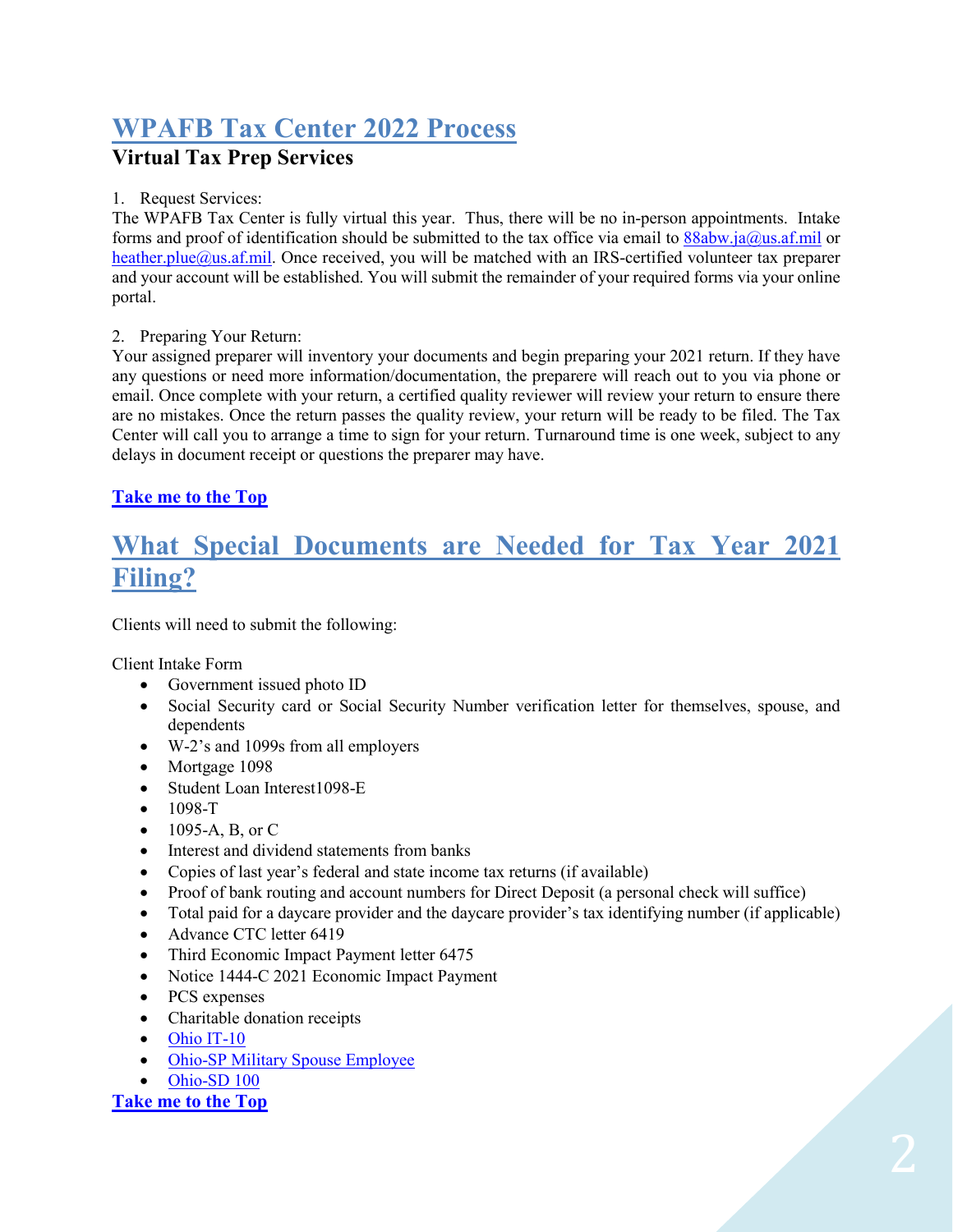# **WPAFB Tax Center 2022 Process**

# **Virtual Tax Prep Services**

### 1. Request Services:

The WPAFB Tax Center is fully virtual this year. Thus, there will be no in-person appointments. Intake forms and proof of identification should be submitted to the tax office via email to [88abw.ja@us.af.mil](mailto:88abw.ja@us.af.mil) or [heather.plue@us.af.mil.](mailto:heather.plue@us.af.mil) Once received, you will be matched with an IRS-certified volunteer tax preparer and your account will be established. You will submit the remainder of your required forms via your online portal.

### 2. Preparing Your Return:

Your assigned preparer will inventory your documents and begin preparing your 2021 return. If they have any questions or need more information/documentation, the preparere will reach out to you via phone or email. Once complete with your return, a certified quality reviewer will review your return to ensure there are no mistakes. Once the return passes the quality review, your return will be ready to be filed. The Tax Center will call you to arrange a time to sign for your return. Turnaround time is one week, subject to any delays in document receipt or questions the preparer may have.

### **[Take me to the Top](#page-0-0)**

# <span id="page-1-0"></span>**What Special Documents are Needed for Tax Year 2021 Filing?**

Clients will need to submit the following:

Client Intake Form

- Government issued photo ID
- Social Security card or Social Security Number verification letter for themselves, spouse, and dependents
- W-2's and 1099s from all employers
- Mortgage 1098
- Student Loan Interest1098-E
- 1098-T
- 1095-A, B, or C
- Interest and dividend statements from banks
- Copies of last year's federal and state income tax returns (if available)
- Proof of bank routing and account numbers for Direct Deposit (a personal check will suffice)
- Total paid for a daycare provider and the daycare provider's tax identifying number (if applicable)
- Advance CTC letter 6419
- Third Economic Impact Payment letter 6475
- Notice 1444-C 2021 Economic Impact Payment
- PCS expenses
- Charitable donation receipts
- Ohio [IT-10](https://tax.ohio.gov/static/forms/ohio_individual/individual/2021/1040-bundle-fi.pdf)
- Ohio-SP Military Spouse [Employee](https://tax.ohio.gov/static/forms/ohio_individual/individual/2012/IT_MIL_SP.pdf)
- [Ohio-SD](https://tax.ohio.gov/static/forms/school_district_income/2021/sd100-bundle-fi.pdf) 100

#### **[Take me to the Top](#page-0-0)**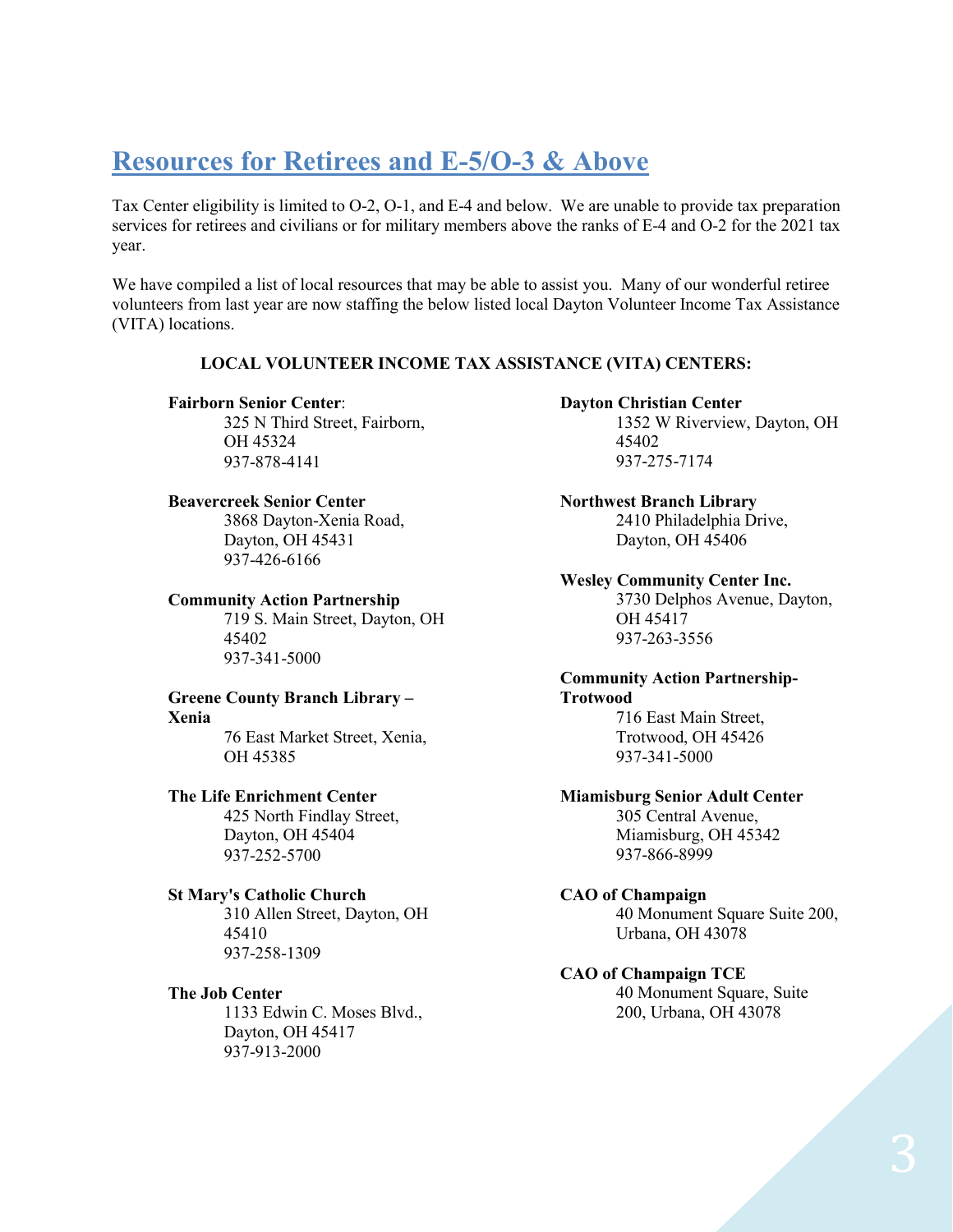# <span id="page-2-0"></span>**Resources for Retirees and E-5/O-3 & Above**

Tax Center eligibility is limited to O-2, O-1, and E-4 and below. We are unable to provide tax preparation services for retirees and civilians or for military members above the ranks of E-4 and O-2 for the 2021 tax year.

We have compiled a list of local resources that may be able to assist you. Many of our wonderful retiree volunteers from last year are now staffing the below listed local Dayton Volunteer Income Tax Assistance (VITA) locations.

#### **LOCAL VOLUNTEER INCOME TAX ASSISTANCE (VITA) CENTERS:**

#### **Fairborn Senior Center**:

325 N Third Street, Fairborn, OH 45324 937-878-4141

#### **Beavercreek Senior Center**

3868 Dayton-Xenia Road, Dayton, OH 45431 937-426-6166

#### **Community Action Partnership**

719 S. Main Street, Dayton, OH 45402 937-341-5000

# **Greene County Branch Library –**

#### **Xenia**

76 East Market Street, Xenia, OH 45385

#### **The Life Enrichment Center**

425 North Findlay Street, Dayton, OH 45404 937-252-5700

#### **St Mary's Catholic Church**

310 Allen Street, Dayton, OH 45410 937-258-1309

#### **The Job Center**

1133 Edwin C. Moses Blvd., Dayton, OH 45417 937-913-2000

#### **Dayton Christian Center**

1352 W Riverview, Dayton, OH 45402 937-275-7174

**Northwest Branch Library** 2410 Philadelphia Drive, Dayton, OH 45406

#### **Wesley Community Center Inc.**

3730 Delphos Avenue, Dayton, OH 45417 937-263-3556

#### **Community Action Partnership-Trotwood**

716 East Main Street, Trotwood, OH 45426 937-341-5000

## **Miamisburg Senior Adult Center**

305 Central Avenue, Miamisburg, OH 45342 937-866-8999

#### **CAO of Champaign**

40 Monument Square Suite 200, Urbana, OH 43078

#### **CAO of Champaign TCE**

40 Monument Square, Suite 200, Urbana, OH 43078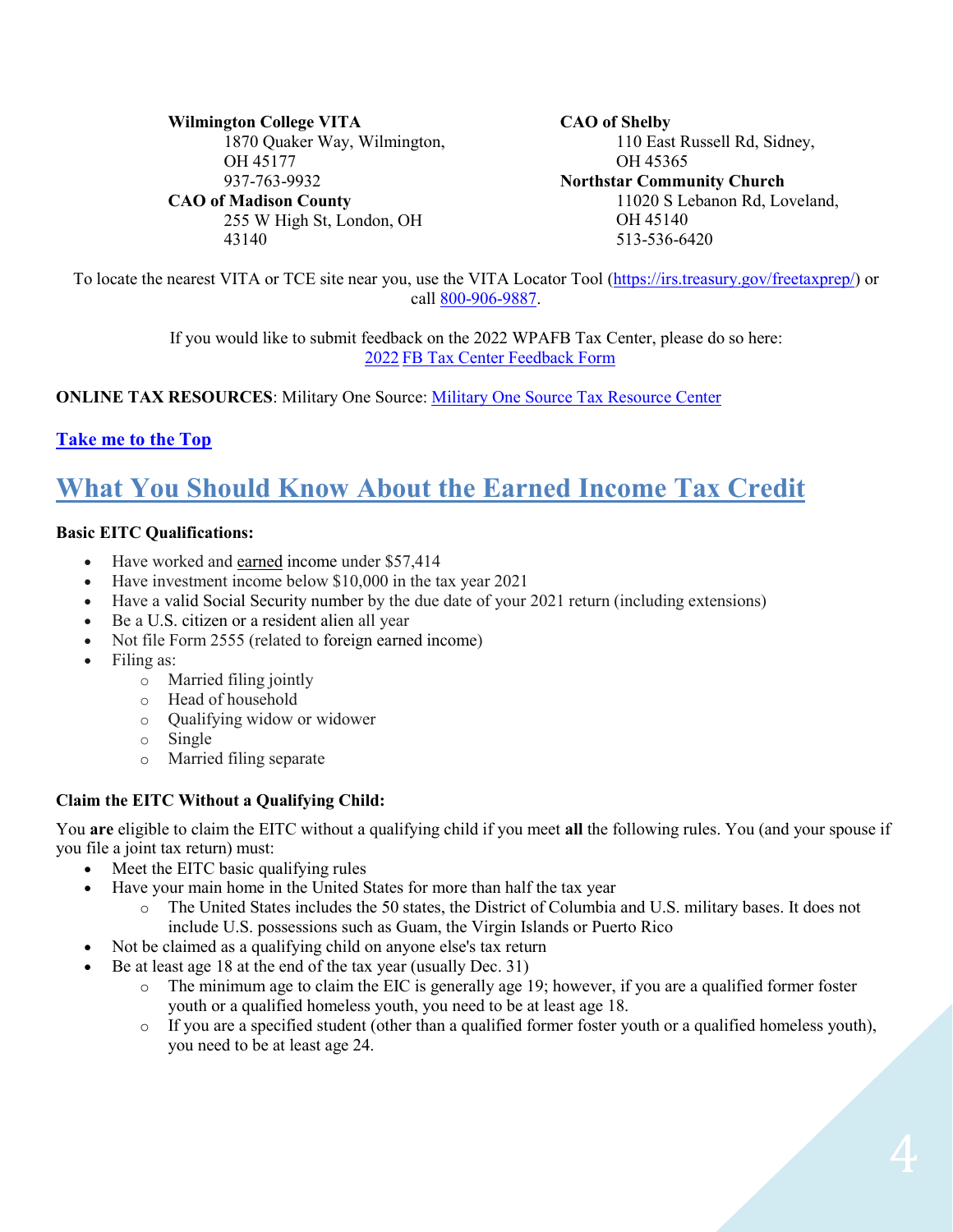**Wilmington College VITA** 1870 Quaker Way, Wilmington, OH 45177 937-763-9932 **CAO of Madison County** 255 W High St, London, OH 43140

**CAO of Shelby** 110 East Russell Rd, Sidney, OH 45365 **Northstar Community Church** 11020 S Lebanon Rd, Loveland, OH 45140 513-536-6420

To locate the nearest VITA or TCE site near you, use the VITA Locator Tool [\(https://irs.treasury.gov/freetaxprep/\)](https://irs.treasury.gov/freetaxprep/) or call [800-906-9887.](tel:800-906-9887)

> If you would like to submit feedback on the 2022 WPAFB Tax Center, please do so here: 2022 [FB Tax Center Feedback Form](https://docs.google.com/forms/d/13k1rcOHYEPkX3RrMJDzuUSWjFzQ5fZNKAKd6soJuY1w/viewform?edit_requested=true)

**ONLINE TAX RESOURCES**: Military One Source: [Military One Source Tax Resource Center](https://www.militaryonesource.mil/financial-legal/tax-resource-center/miltax-military-tax-services/)

## **[Take me to the Top](#page-0-0)**

# <span id="page-3-0"></span>**What You Should Know About the Earned Income Tax Credit**

### **Basic EITC Qualifications:**

- Have worked and earned income under \$57,414
- Have investment income below \$10,000 in the tax year 2021
- Have a valid Social Security number by the due date of your 2021 return (including extensions)
- Be a U.S. citizen or a resident alien all year
- Not file Form 2555 (related to foreign earned income)
- Filing as:
	- o Married filing jointly
	- o Head of household
	- o Qualifying widow or widower
	- o Single
	- o Married filing separate

### **Claim the EITC Without a Qualifying Child:**

You **are** eligible to claim the EITC without a qualifying child if you meet **all** the following rules. You (and your spouse if you file a joint tax return) must:

- Meet the EITC basic qualifying rules
- Have your main home in the United States for more than half the tax year
	- o The United States includes the 50 states, the District of Columbia and U.S. military bases. It does not include U.S. possessions such as Guam, the Virgin Islands or Puerto Rico
- Not be claimed as a qualifying child on anyone else's tax return
- Be at least age 18 at the end of the tax year (usually Dec. 31)
	- $\circ$  The minimum age to claim the EIC is generally age 19; however, if you are a qualified former foster youth or a qualified homeless youth, you need to be at least age 18.
	- $\circ$  If you are a specified student (other than a qualified former foster youth or a qualified homeless youth), you need to be at least age 24.